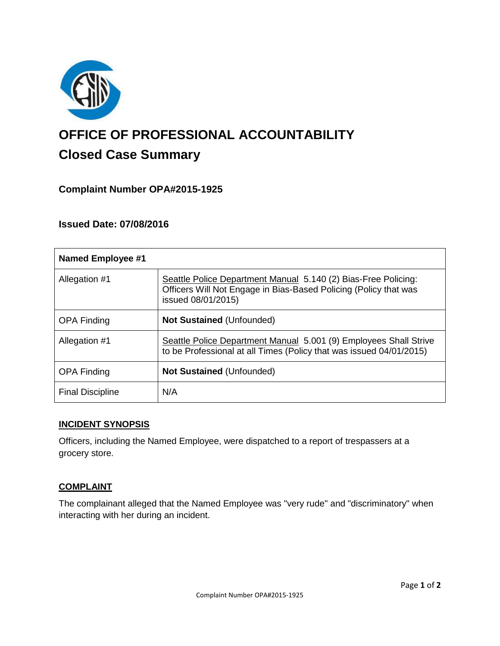

# **OFFICE OF PROFESSIONAL ACCOUNTABILITY Closed Case Summary**

# **Complaint Number OPA#2015-1925**

# **Issued Date: 07/08/2016**

| <b>Named Employee #1</b> |                                                                                                                                                          |
|--------------------------|----------------------------------------------------------------------------------------------------------------------------------------------------------|
| Allegation #1            | Seattle Police Department Manual 5.140 (2) Bias-Free Policing:<br>Officers Will Not Engage in Bias-Based Policing (Policy that was<br>issued 08/01/2015) |
| <b>OPA Finding</b>       | <b>Not Sustained (Unfounded)</b>                                                                                                                         |
| Allegation #1            | Seattle Police Department Manual 5.001 (9) Employees Shall Strive<br>to be Professional at all Times (Policy that was issued 04/01/2015)                 |
| <b>OPA Finding</b>       | <b>Not Sustained (Unfounded)</b>                                                                                                                         |
| <b>Final Discipline</b>  | N/A                                                                                                                                                      |

## **INCIDENT SYNOPSIS**

Officers, including the Named Employee, were dispatched to a report of trespassers at a grocery store.

## **COMPLAINT**

The complainant alleged that the Named Employee was "very rude" and "discriminatory" when interacting with her during an incident.